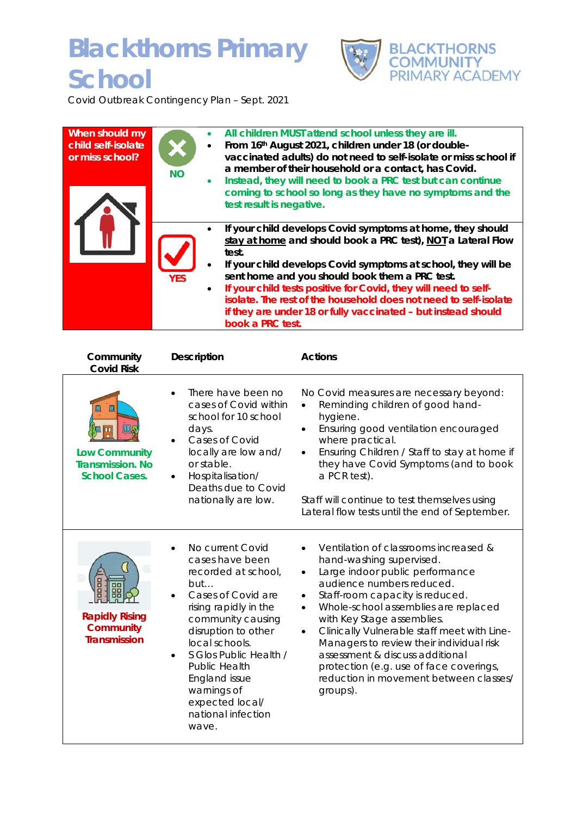## **Blackthorns Primary School**



Covid Outbreak Contingency Plan – Sept. 2021

| When should my<br>child self-isolate<br>or miss school? | <b>NO</b><br>$\bullet$  | All children MUST attend school unless they are ill.<br>From 16th August 2021, children under 18 (or double-<br>vaccinated adults) do not need to self-isolate or miss school if<br>a member of their household or a contact, has Covid.<br>Instead, they will need to book a PRC test but can continue<br>coming to school so long as they have no symptoms and the<br>test result is negative.                                                                                   |
|---------------------------------------------------------|-------------------------|------------------------------------------------------------------------------------------------------------------------------------------------------------------------------------------------------------------------------------------------------------------------------------------------------------------------------------------------------------------------------------------------------------------------------------------------------------------------------------|
|                                                         | <b>YES</b><br>$\bullet$ | If your child develops Covid symptoms at home, they should<br>stay at home and should book a PRC test), NOT a Lateral Flow<br>test.<br>If your child develops Covid symptoms at school, they will be<br>sent home and you should book them a PRC test.<br>If your child tests positive for Covid, they will need to self-<br>isolate. The rest of the household does not need to self-isolate<br>if they are under 18 or fully vaccinated - but instead should<br>book a PRC test. |

| Community<br><b>Covid Risk</b>                                               | <b>Description</b>                                                                                                                                                                                                                                                                                                              | <b>Actions</b>                                                                                                                                                                                                                                                                                                                                                                                                                                                                         |
|------------------------------------------------------------------------------|---------------------------------------------------------------------------------------------------------------------------------------------------------------------------------------------------------------------------------------------------------------------------------------------------------------------------------|----------------------------------------------------------------------------------------------------------------------------------------------------------------------------------------------------------------------------------------------------------------------------------------------------------------------------------------------------------------------------------------------------------------------------------------------------------------------------------------|
| Ш<br><b>Low Community</b><br><b>Transmission. No</b><br><b>School Cases.</b> | There have been no<br>cases of Covid within<br>school for 10 school<br>days.<br>Cases of Covid<br>locally are low and/<br>or stable.<br>Hospitalisation/<br>Deaths due to Covid<br>nationally are low.                                                                                                                          | No Covid measures are necessary beyond:<br>Reminding children of good hand-<br>hygiene.<br>Ensuring good ventilation encouraged<br>where practical.<br>Ensuring Children / Staff to stay at home if<br>they have Covid Symptoms (and to book<br>a PCR test).<br>Staff will continue to test themselves using<br>Lateral flow tests until the end of September.                                                                                                                         |
| <b>Rapidly Rising</b><br><b>Community</b><br><b>Transmission</b>             | No current Covid<br>cases have been<br>recorded at school,<br>but<br>Cases of Covid are<br>rising rapidly in the<br>community causing<br>disruption to other<br>local schools.<br>S Glos Public Health /<br>$\bullet$<br>Public Health<br><b>England issue</b><br>warnings of<br>expected local/<br>national infection<br>wave. | Ventilation of classrooms increased &<br>hand-washing supervised.<br>Large indoor public performance<br>audience numbers reduced.<br>Staff-room capacity is reduced.<br>Whole-school assemblies are replaced<br>$\bullet$<br>with Key Stage assemblies.<br>Clinically Vulnerable staff meet with Line-<br>Managers to review their individual risk<br>assessment & discuss additional<br>protection (e.g. use of face coverings,<br>reduction in movement between classes/<br>groups). |